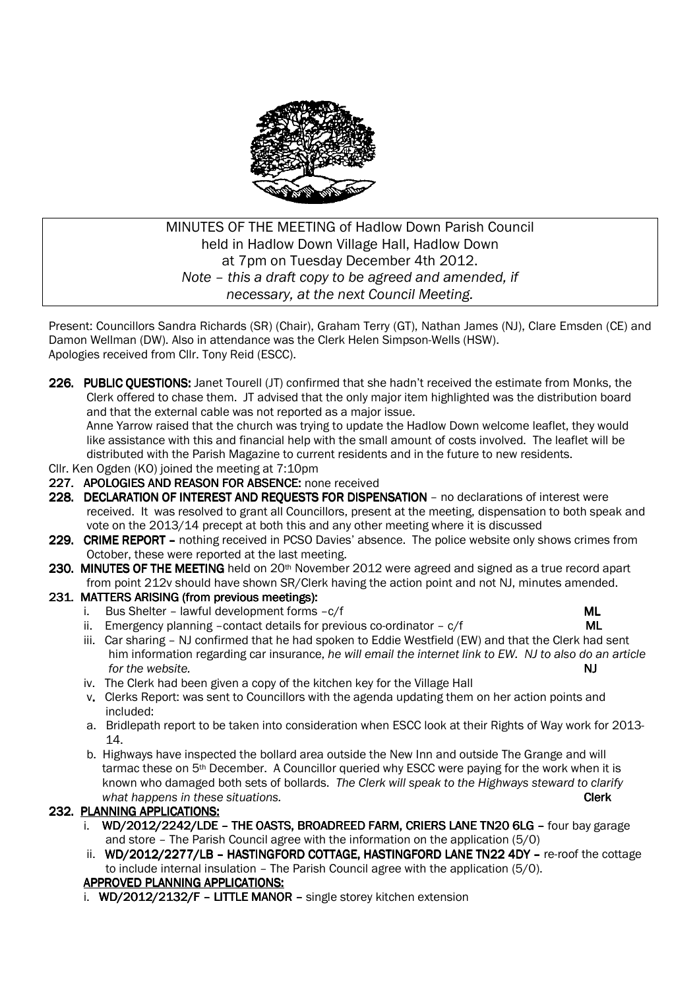

# MINUTES OF THE MEETING of Hadlow Down Parish Council held in Hadlow Down Village Hall, Hadlow Down at 7pm on Tuesday December 4th 2012. *Note – this a draft copy to be agreed and amended, if necessary, at the next Council Meeting.*

Present: Councillors Sandra Richards (SR) (Chair), Graham Terry (GT), Nathan James (NJ), Clare Emsden (CE) and Damon Wellman (DW). Also in attendance was the Clerk Helen Simpson-Wells (HSW). Apologies received from Cllr. Tony Reid (ESCC).

226. PUBLIC OUESTIONS: Janet Tourell (JT) confirmed that she hadn't received the estimate from Monks, the Clerk offered to chase them. JT advised that the only major item highlighted was the distribution board and that the external cable was not reported as a major issue.

 Anne Yarrow raised that the church was trying to update the Hadlow Down welcome leaflet, they would like assistance with this and financial help with the small amount of costs involved. The leaflet will be distributed with the Parish Magazine to current residents and in the future to new residents.

- Cllr. Ken Ogden (KO) joined the meeting at 7:10pm
- 227. APOLOGIES AND REASON FOR ABSENCE: none received
- 228. DECLARATION OF INTEREST AND REQUESTS FOR DISPENSATION no declarations of interest were received. It was resolved to grant all Councillors, present at the meeting, dispensation to both speak and vote on the 2013/14 precept at both this and any other meeting where it is discussed
- 229. CRIME REPORT nothing received in PCSO Davies' absence. The police website only shows crimes from October, these were reported at the last meeting.
- 230. MINUTES OF THE MEETING held on 20<sup>th</sup> November 2012 were agreed and signed as a true record apart from point 212v should have shown SR/Clerk having the action point and not NJ, minutes amended.

### 231. MATTERS ARISING (from previous meetings):

- i. Bus Shelter lawful development forms  $-c/f$  ML
- ii. Emergency planning –contact details for previous co-ordinator  $c/f$  ML
- iii. Car sharing NJ confirmed that he had spoken to Eddie Westfield (EW) and that the Clerk had sent him information regarding car insurance, *he will email the internet link to EW. NJ to also do an article for the website.* NJ
- iv. The Clerk had been given a copy of the kitchen key for the Village Hall
- v. Clerks Report: was sent to Councillors with the agenda updating them on her action points and included:
- a. Bridlepath report to be taken into consideration when ESCC look at their Rights of Way work for 2013- 14.
- b. Highways have inspected the bollard area outside the New Inn and outside The Grange and will tarmac these on 5<sup>th</sup> December. A Councillor queried why ESCC were paying for the work when it is known who damaged both sets of bollards. *The Clerk will speak to the Highways steward to clarify what happens in these situations.*  $\blacksquare$

### 232. PLANNING APPLICATIONS:

- i. WD/2012/2242/LDE THE OASTS, BROADREED FARM, CRIERS LANE TN20 6LG four bay garage and store – The Parish Council agree with the information on the application (5/0)
- ii. WD/2012/2277/LB HASTINGFORD COTTAGE, HASTINGFORD LANE TN22 4DY re-roof the cottage to include internal insulation – The Parish Council agree with the application (5/0).

# APPROVED PLANNING APPLICATIONS:

i. WD/2012/2132/F - LITTLE MANOR - single storey kitchen extension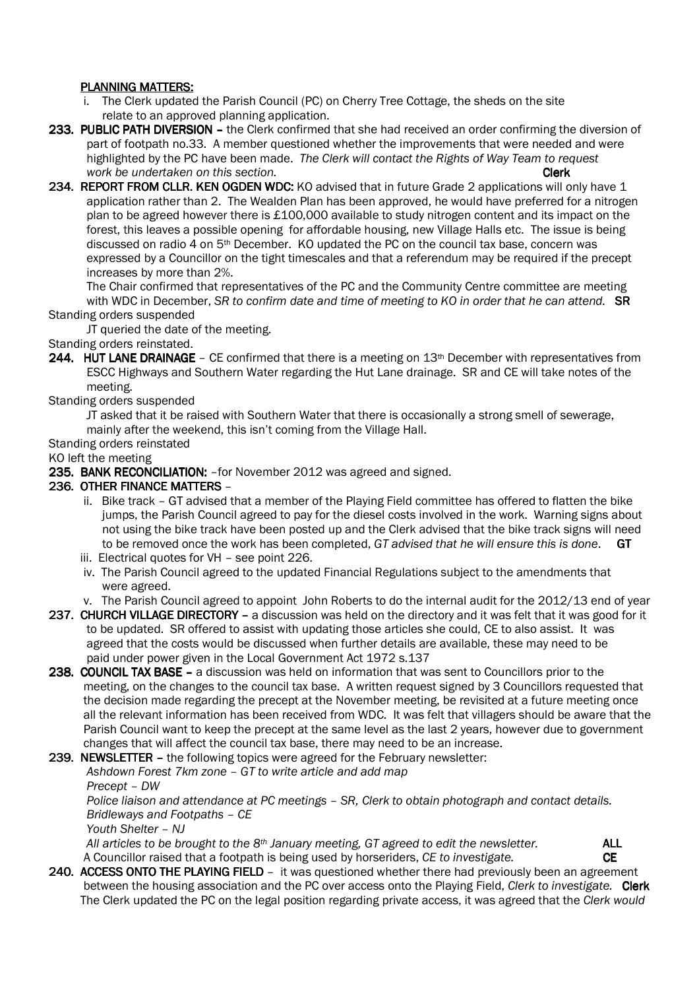## PLANNING MATTERS:

- i. The Clerk updated the Parish Council (PC) on Cherry Tree Cottage, the sheds on the site relate to an approved planning application.
- 233. PUBLIC PATH DIVERSION the Clerk confirmed that she had received an order confirming the diversion of part of footpath no.33. A member questioned whether the improvements that were needed and were highlighted by the PC have been made. *The Clerk will contact the Rights of Way Team to request work be undertaken on this section.* **Clerk** Clerk Clerk Clerk Clerk Clerk Clerk Clerk Clerk Clerk Clerk Clerk Clerk Clerk Clerk Clerk Clerk Clerk Clerk Clerk Clerk Clerk Clerk Clerk Clerk Clerk Clerk Clerk Clerk Clerk
- 234. REPORT FROM CLLR. KEN OGDEN WDC: KO advised that in future Grade 2 applications will only have 1 application rather than 2. The Wealden Plan has been approved, he would have preferred for a nitrogen plan to be agreed however there is £100,000 available to study nitrogen content and its impact on the forest, this leaves a possible opening for affordable housing, new Village Halls etc. The issue is being discussed on radio 4 on 5th December. KO updated the PC on the council tax base, concern was expressed by a Councillor on the tight timescales and that a referendum may be required if the precept increases by more than 2%.

 The Chair confirmed that representatives of the PC and the Community Centre committee are meeting with WDC in December, *SR* to confirm date and time of meeting to KO in order that he can attend. **SR** Standing orders suspended

JT queried the date of the meeting.

Standing orders reinstated.

244. HUT LANE DRAINAGE – CE confirmed that there is a meeting on  $13<sup>th</sup>$  December with representatives from ESCC Highways and Southern Water regarding the Hut Lane drainage. SR and CE will take notes of the meeting.

#### Standing orders suspended

 JT asked that it be raised with Southern Water that there is occasionally a strong smell of sewerage, mainly after the weekend, this isn't coming from the Village Hall.

## Standing orders reinstated

KO left the meeting

235. BANK RECONCILIATION:  $-$  for November 2012 was agreed and signed.

#### 236. OTHER FINANCE MATTERS -

- ii. Bike track GT advised that a member of the Playing Field committee has offered to flatten the bike jumps, the Parish Council agreed to pay for the diesel costs involved in the work. Warning signs about not using the bike track have been posted up and the Clerk advised that the bike track signs will need to be removed once the work has been completed, *GT advised that he will ensure this is done*. GT
- iii. Electrical quotes for VH see point 226.
- iv. The Parish Council agreed to the updated Financial Regulations subject to the amendments that were agreed.

v. The Parish Council agreed to appoint John Roberts to do the internal audit for the 2012/13 end of year

- 237. CHURCH VILLAGE DIRECTORY a discussion was held on the directory and it was felt that it was good for it to be updated. SR offered to assist with updating those articles she could, CE to also assist. It was agreed that the costs would be discussed when further details are available, these may need to be paid under power given in the Local Government Act 1972 s.137
- 238. COUNCIL TAX BASE a discussion was held on information that was sent to Councillors prior to the meeting, on the changes to the council tax base. A written request signed by 3 Councillors requested that the decision made regarding the precept at the November meeting, be revisited at a future meeting once all the relevant information has been received from WDC. It was felt that villagers should be aware that the Parish Council want to keep the precept at the same level as the last 2 years, however due to government changes that will affect the council tax base, there may need to be an increase.

239. NEWSLETTER – the following topics were agreed for the February newsletter:

*Ashdown Forest 7km zone – GT to write article and add map* 

 *Precept – DW* 

 *Police liaison and attendance at PC meetings – SR, Clerk to obtain photograph and contact details. Bridleways and Footpaths – CE* 

 *Youth Shelter – NJ* 

 *All articles to be brought to the 8th January meeting, GT agreed to edit the newsletter.* ALL A Councillor raised that a footpath is being used by horseriders, *CE to investigate.* **CE** 

240. ACCESS ONTO THE PLAYING FIELD - it was questioned whether there had previously been an agreement between the housing association and the PC over access onto the Playing Field, *Clerk to investigate.* Clerk The Clerk updated the PC on the legal position regarding private access, it was agreed that the *Clerk would*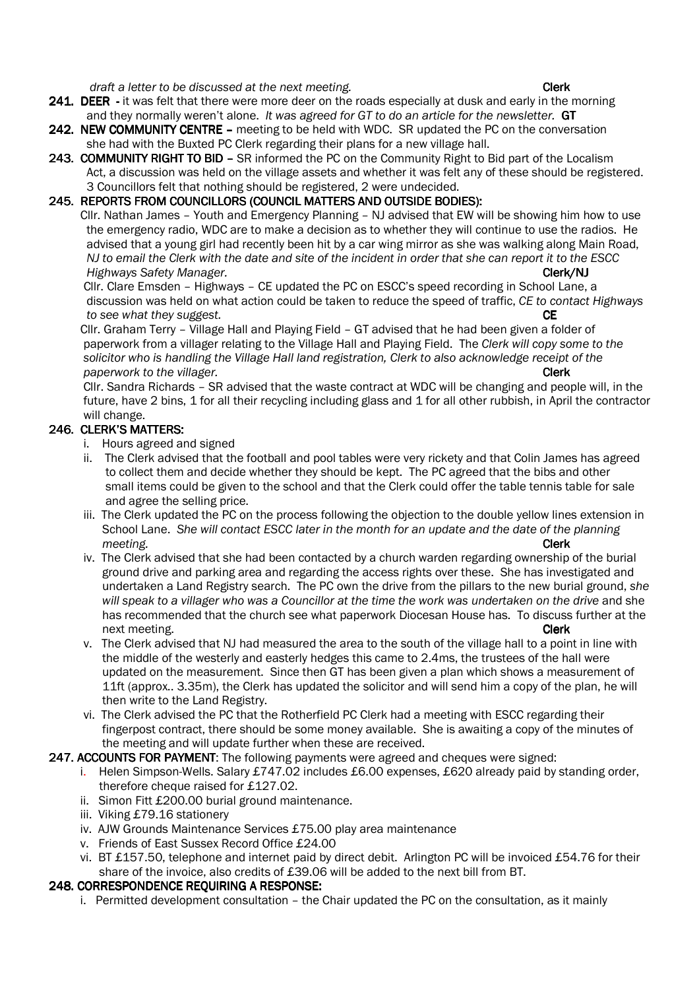*draft a letter to be discussed at the next meeting.* **Clerk Clerk** 

- 241. DEER it was felt that there were more deer on the roads especially at dusk and early in the morning and they normally weren't alone. *It was agreed for GT to do an article for the newsletter.* GT
- 242. NEW COMMUNITY CENTRE meeting to be held with WDC. SR updated the PC on the conversation she had with the Buxted PC Clerk regarding their plans for a new village hall.
- 243. COMMUNITY RIGHT TO BID SR informed the PC on the Community Right to Bid part of the Localism Act, a discussion was held on the village assets and whether it was felt any of these should be registered. 3 Councillors felt that nothing should be registered, 2 were undecided.

## 245. REPORTS FROM COUNCILLORS (COUNCIL MATTERS AND OUTSIDE BODIES):

 Cllr. Nathan James – Youth and Emergency Planning – NJ advised that EW will be showing him how to use the emergency radio, WDC are to make a decision as to whether they will continue to use the radios. He advised that a young girl had recently been hit by a car wing mirror as she was walking along Main Road, *NJ to email the Clerk with the date and site of the incident in order that she can report it to the ESCC Highways Safety Manager.* Clerk/NJ Clerk/NJ

Cllr. Clare Emsden – Highways – CE updated the PC on ESCC's speed recording in School Lane, a discussion was held on what action could be taken to reduce the speed of traffic, *CE to contact Highways to see what they suggest.* CE

Cllr. Graham Terry – Village Hall and Plaving Field – GT advised that he had been given a folder of paperwork from a villager relating to the Village Hall and Playing Field. The *Clerk will copy some to the solicitor who is handling the Village Hall land registration, Clerk to also acknowledge receipt of the paperwork to the villager.* **Clerk** *Clerk* **<b>Clerk** *Clerk* 

Cllr. Sandra Richards – SR advised that the waste contract at WDC will be changing and people will, in the future, have 2 bins, 1 for all their recycling including glass and 1 for all other rubbish, in April the contractor will change.

### 246. CLERK'S MATTERS:

- i. Hours agreed and signed
- ii. The Clerk advised that the football and pool tables were very rickety and that Colin James has agreed to collect them and decide whether they should be kept. The PC agreed that the bibs and other small items could be given to the school and that the Clerk could offer the table tennis table for sale and agree the selling price.
- iii. The Clerk updated the PC on the process following the objection to the double yellow lines extension in School Lane. *She will contact ESCC later in the month for an update and the date of the planning meeting.* Clerk
	- iv. The Clerk advised that she had been contacted by a church warden regarding ownership of the burial ground drive and parking area and regarding the access rights over these. She has investigated and undertaken a Land Registry search. The PC own the drive from the pillars to the new burial ground, *she will speak to a villager who was a Councillor at the time the work was undertaken on the drive* and she has recommended that the church see what paperwork Diocesan House has. To discuss further at the next meeting. **Clerk**
	- v. The Clerk advised that NJ had measured the area to the south of the village hall to a point in line with the middle of the westerly and easterly hedges this came to 2.4ms, the trustees of the hall were updated on the measurement. Since then GT has been given a plan which shows a measurement of 11ft (approx.. 3.35m), the Clerk has updated the solicitor and will send him a copy of the plan, he will then write to the Land Registry.
	- vi. The Clerk advised the PC that the Rotherfield PC Clerk had a meeting with ESCC regarding their fingerpost contract, there should be some money available. She is awaiting a copy of the minutes of the meeting and will update further when these are received.

### 247. ACCOUNTS FOR PAYMENT: The following payments were agreed and cheques were signed:

- i. Helen Simpson-Wells. Salary £747.02 includes £6.00 expenses, £620 already paid by standing order, therefore cheque raised for £127.02.
- ii. Simon Fitt £200.00 burial ground maintenance.
- iii. Viking £79.16 stationery
- iv. AJW Grounds Maintenance Services £75.00 play area maintenance
- v. Friends of East Sussex Record Office £24.00
- vi. BT £157.50, telephone and internet paid by direct debit. Arlington PC will be invoiced £54.76 for their share of the invoice, also credits of £39.06 will be added to the next bill from BT.

#### 248. CORRESPONDENCE REQUIRING A RESPONSE:

i. Permitted development consultation – the Chair updated the PC on the consultation, as it mainly